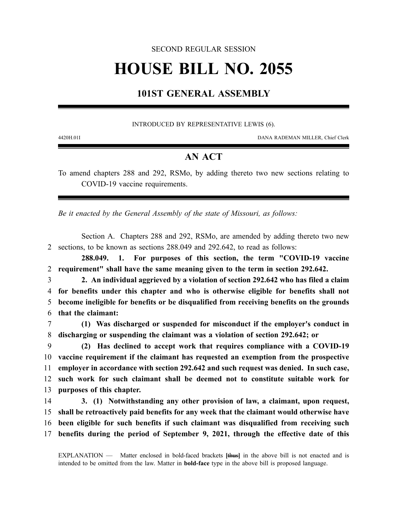### SECOND REGULAR SESSION

# **HOUSE BILL NO. 2055**

## **101ST GENERAL ASSEMBLY**

#### INTRODUCED BY REPRESENTATIVE LEWIS (6).

4420H.01I DANA RADEMAN MILLER, Chief Clerk

## **AN ACT**

To amend chapters 288 and 292, RSMo, by adding thereto two new sections relating to COVID-19 vaccine requirements.

*Be it enacted by the General Assembly of the state of Missouri, as follows:*

Section A. Chapters 288 and 292, RSMo, are amended by adding thereto two new 2 sections, to be known as sections 288.049 and 292.642, to read as follows:

**288.049. 1. For purposes of this section, the term "COVID-19 vaccine** 2 **requirement" shall have the same meaning given to the term in section 292.642.**

 **2. An individual aggrieved by a violation of section 292.642 who has filed a claim for benefits under this chapter and who is otherwise eligible for benefits shall not become ineligible for benefits or be disqualified from receiving benefits on the grounds that the claimant:**

7 **(1) Was discharged or suspended for misconduct if the employer's conduct in** 8 **discharging or suspending the claimant was a violation of section 292.642; or**

 **(2) Has declined to accept work that requires compliance with a COVID-19 vaccine requirement if the claimant has requested an exemption from the prospective employer in accordance with section 292.642 and such request was denied. In such case, such work for such claimant shall be deemed not to constitute suitable work for purposes of this chapter.**

 **3. (1) Notwithstanding any other provision of law, a claimant, upon request, shall be retroactively paid benefits for any week that the claimant would otherwise have been eligible for such benefits if such claimant was disqualified from receiving such benefits during the period of September 9, 2021, through the effective date of this**

EXPLANATION — Matter enclosed in bold-faced brackets **[**thus**]** in the above bill is not enacted and is intended to be omitted from the law. Matter in **bold-face** type in the above bill is proposed language.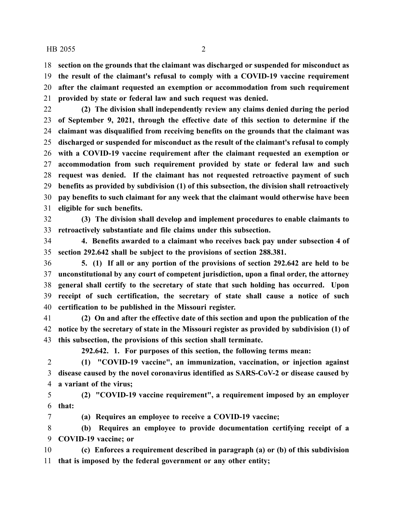#### HB 2055 2

 **section on the grounds that the claimant was discharged or suspended for misconduct as the result of the claimant's refusal to comply with a COVID-19 vaccine requirement after the claimant requested an exemption or accommodation from such requirement provided by state or federal law and such request was denied.**

 **(2) The division shall independently review any claims denied during the period of September 9, 2021, through the effective date of this section to determine if the claimant was disqualified from receiving benefits on the grounds that the claimant was discharged or suspended for misconduct as the result of the claimant's refusal to comply with a COVID-19 vaccine requirement after the claimant requested an exemption or accommodation from such requirement provided by state or federal law and such request was denied. If the claimant has not requested retroactive payment of such benefits as provided by subdivision (1) of this subsection, the division shall retroactively pay benefits to such claimant for any week that the claimant would otherwise have been eligible for such benefits.**

 **(3) The division shall develop and implement procedures to enable claimants to retroactively substantiate and file claims under this subsection.**

 **4. Benefits awarded to a claimant who receives back pay under subsection 4 of section 292.642 shall be subject to the provisions of section 288.381.**

 **5. (1) If all or any portion of the provisions of section 292.642 are held to be unconstitutional by any court of competent jurisdiction, upon a final order, the attorney general shall certify to the secretary of state that such holding has occurred. Upon receipt of such certification, the secretary of state shall cause a notice of such certification to be published in the Missouri register.**

 **(2) On and after the effective date of this section and upon the publication of the notice by the secretary of state in the Missouri register as provided by subdivision (1) of this subsection, the provisions of this section shall terminate.**

**292.642. 1. For purposes of this section, the following terms mean:**

 **(1) "COVID-19 vaccine", an immunization, vaccination, or injection against disease caused by the novel coronavirus identified as SARS-CoV-2 or disease caused by a variant of the virus;**

 **(2) "COVID-19 vaccine requirement", a requirement imposed by an employer that:**

**(a) Requires an employee to receive a COVID-19 vaccine;**

 **(b) Requires an employee to provide documentation certifying receipt of a COVID-19 vaccine; or**

 **(c) Enforces a requirement described in paragraph (a) or (b) of this subdivision that is imposed by the federal government or any other entity;**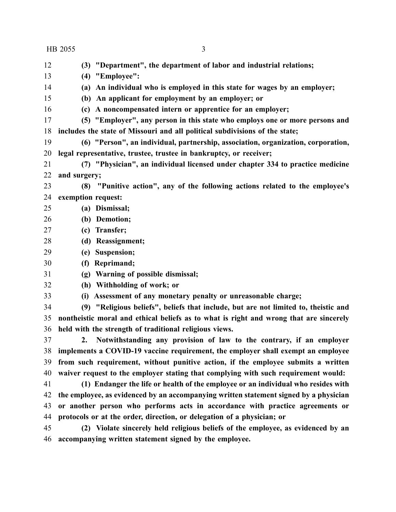**(3) "Department", the department of labor and industrial relations; (4) "Employee": (a) An individual who is employed in this state for wages by an employer; (b) An applicant for employment by an employer; or (c) A noncompensated intern or apprentice for an employer; (5) "Employer", any person in this state who employs one or more persons and includes the state of Missouri and all political subdivisions of the state; (6) "Person", an individual, partnership, association, organization, corporation, legal representative, trustee, trustee in bankruptcy, or receiver; (7) "Physician", an individual licensed under chapter 334 to practice medicine and surgery; (8) "Punitive action", any of the following actions related to the employee's exemption request: (a) Dismissal; (b) Demotion; (c) Transfer; (d) Reassignment; (e) Suspension; (f) Reprimand; (g) Warning of possible dismissal; (h) Withholding of work; or (i) Assessment of any monetary penalty or unreasonable charge; (9) "Religious beliefs", beliefs that include, but are not limited to, theistic and nontheistic moral and ethical beliefs as to what is right and wrong that are sincerely held with the strength of traditional religious views. 2. Notwithstanding any provision of law to the contrary, if an employer implements a COVID-19 vaccine requirement, the employer shall exempt an employee from such requirement, without punitive action, if the employee submits a written waiver request to the employer stating that complying with such requirement would: (1) Endanger the life or health of the employee or an individual who resides with the employee, as evidenced by an accompanying written statement signed by a physician or another person who performs acts in accordance with practice agreements or protocols or at the order, direction, or delegation of a physician; or (2) Violate sincerely held religious beliefs of the employee, as evidenced by an accompanying written statement signed by the employee.** HB 2055 3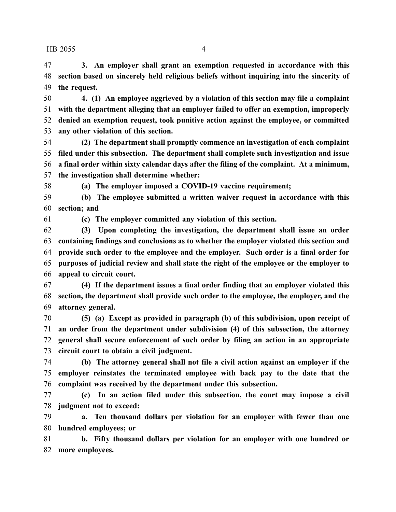HB 2055 4

 **3. An employer shall grant an exemption requested in accordance with this section based on sincerely held religious beliefs without inquiring into the sincerity of the request.**

 **4. (1) An employee aggrieved by a violation of this section may file a complaint with the department alleging that an employer failed to offer an exemption, improperly denied an exemption request, took punitive action against the employee, or committed any other violation of this section.**

 **(2) The department shall promptly commence an investigation of each complaint filed under this subsection. The department shall complete such investigation and issue a final order within sixty calendar days after the filing of the complaint. At a minimum, the investigation shall determine whether:**

**(a) The employer imposed a COVID-19 vaccine requirement;**

 **(b) The employee submitted a written waiver request in accordance with this section; and**

**(c) The employer committed any violation of this section.**

 **(3) Upon completing the investigation, the department shall issue an order containing findings and conclusions as to whether the employer violated this section and provide such order to the employee and the employer. Such order is a final order for purposes of judicial review and shall state the right of the employee or the employer to appeal to circuit court.**

 **(4) If the department issues a final order finding that an employer violated this section, the department shall provide such order to the employee, the employer, and the attorney general.**

 **(5) (a) Except as provided in paragraph (b) of this subdivision, upon receipt of an order from the department under subdivision (4) of this subsection, the attorney general shall secure enforcement of such order by filing an action in an appropriate circuit court to obtain a civil judgment.**

 **(b) The attorney general shall not file a civil action against an employer if the employer reinstates the terminated employee with back pay to the date that the complaint was received by the department under this subsection.**

 **(c) In an action filed under this subsection, the court may impose a civil judgment not to exceed:**

 **a. Ten thousand dollars per violation for an employer with fewer than one hundred employees; or**

 **b. Fifty thousand dollars per violation for an employer with one hundred or more employees.**